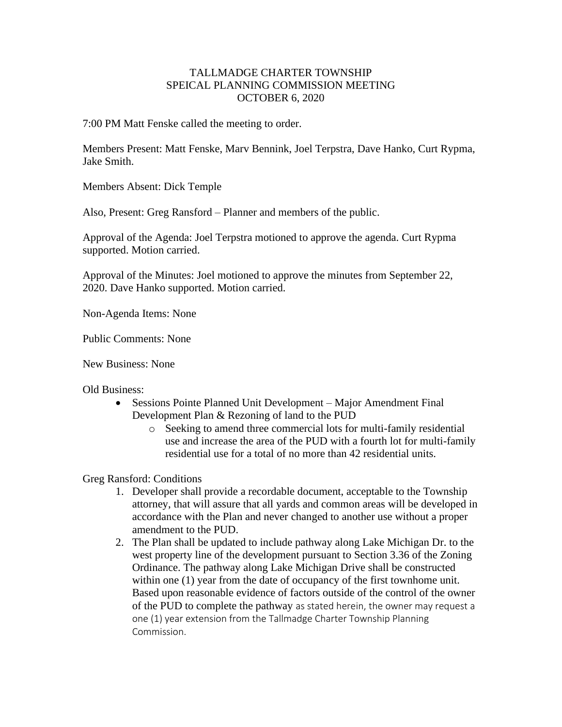## TALLMADGE CHARTER TOWNSHIP SPEICAL PLANNING COMMISSION MEETING OCTOBER 6, 2020

7:00 PM Matt Fenske called the meeting to order.

Members Present: Matt Fenske, Marv Bennink, Joel Terpstra, Dave Hanko, Curt Rypma, Jake Smith.

Members Absent: Dick Temple

Also, Present: Greg Ransford – Planner and members of the public.

Approval of the Agenda: Joel Terpstra motioned to approve the agenda. Curt Rypma supported. Motion carried.

Approval of the Minutes: Joel motioned to approve the minutes from September 22, 2020. Dave Hanko supported. Motion carried.

Non-Agenda Items: None

Public Comments: None

New Business: None

Old Business:

- Sessions Pointe Planned Unit Development Major Amendment Final Development Plan & Rezoning of land to the PUD
	- o Seeking to amend three commercial lots for multi-family residential use and increase the area of the PUD with a fourth lot for multi-family residential use for a total of no more than 42 residential units.

Greg Ransford: Conditions

- 1. Developer shall provide a recordable document, acceptable to the Township attorney, that will assure that all yards and common areas will be developed in accordance with the Plan and never changed to another use without a proper amendment to the PUD.
- 2. The Plan shall be updated to include pathway along Lake Michigan Dr. to the west property line of the development pursuant to Section 3.36 of the Zoning Ordinance. The pathway along Lake Michigan Drive shall be constructed within one (1) year from the date of occupancy of the first townhome unit. Based upon reasonable evidence of factors outside of the control of the owner of the PUD to complete the pathway as stated herein, the owner may request a one (1) year extension from the Tallmadge Charter Township Planning Commission.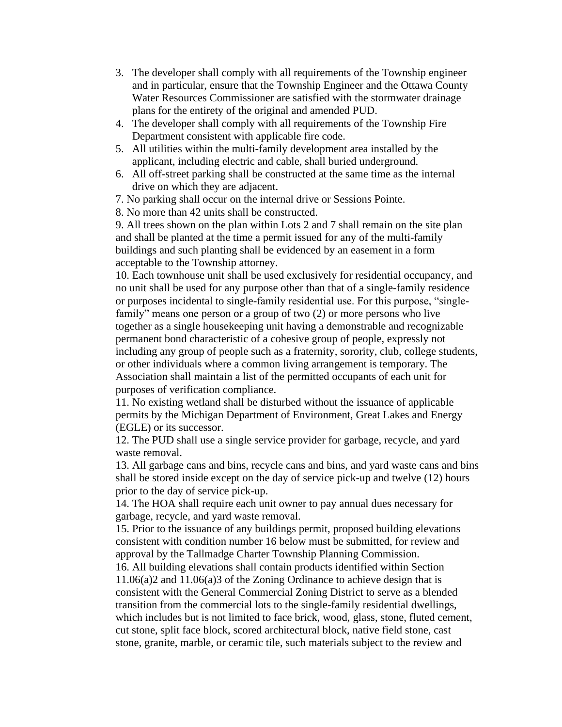- 3. The developer shall comply with all requirements of the Township engineer and in particular, ensure that the Township Engineer and the Ottawa County Water Resources Commissioner are satisfied with the stormwater drainage plans for the entirety of the original and amended PUD.
- 4. The developer shall comply with all requirements of the Township Fire Department consistent with applicable fire code.
- 5. All utilities within the multi-family development area installed by the applicant, including electric and cable, shall buried underground.
- 6. All off-street parking shall be constructed at the same time as the internal drive on which they are adjacent.
- 7. No parking shall occur on the internal drive or Sessions Pointe.
- 8. No more than 42 units shall be constructed.

9. All trees shown on the plan within Lots 2 and 7 shall remain on the site plan and shall be planted at the time a permit issued for any of the multi-family buildings and such planting shall be evidenced by an easement in a form acceptable to the Township attorney.

10. Each townhouse unit shall be used exclusively for residential occupancy, and no unit shall be used for any purpose other than that of a single-family residence or purposes incidental to single-family residential use. For this purpose, "singlefamily" means one person or a group of two (2) or more persons who live together as a single housekeeping unit having a demonstrable and recognizable permanent bond characteristic of a cohesive group of people, expressly not including any group of people such as a fraternity, sorority, club, college students, or other individuals where a common living arrangement is temporary. The Association shall maintain a list of the permitted occupants of each unit for purposes of verification compliance.

11. No existing wetland shall be disturbed without the issuance of applicable permits by the Michigan Department of Environment, Great Lakes and Energy (EGLE) or its successor.

12. The PUD shall use a single service provider for garbage, recycle, and yard waste removal.

13. All garbage cans and bins, recycle cans and bins, and yard waste cans and bins shall be stored inside except on the day of service pick-up and twelve (12) hours prior to the day of service pick-up.

14. The HOA shall require each unit owner to pay annual dues necessary for garbage, recycle, and yard waste removal.

15. Prior to the issuance of any buildings permit, proposed building elevations consistent with condition number 16 below must be submitted, for review and approval by the Tallmadge Charter Township Planning Commission.

16. All building elevations shall contain products identified within Section 11.06(a)2 and 11.06(a)3 of the Zoning Ordinance to achieve design that is consistent with the General Commercial Zoning District to serve as a blended transition from the commercial lots to the single-family residential dwellings, which includes but is not limited to face brick, wood, glass, stone, fluted cement, cut stone, split face block, scored architectural block, native field stone, cast stone, granite, marble, or ceramic tile, such materials subject to the review and